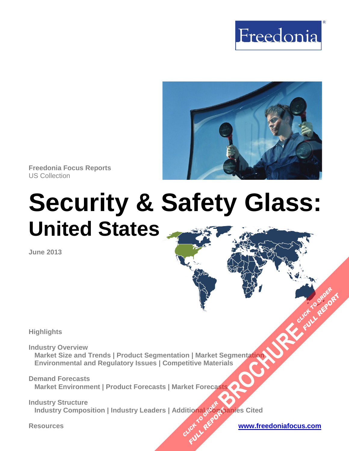



**Freedonia Focus Reports** US Collection

# **Security & Safety Glass: United States**

**June 2013**

**Highlights** 

**Industry Overview Market Size and Trends | Product Segmentation | Market Segmentation Environmental and Regulatory Issues | Competitive Materials BROWNING CLICK TO ORDER**<br>BEGINNING CLICK TO ORDER

**Demand Forecasts Market Environment | Product Forecasts | Market Forecasts** 

**Industry Structure**  \_\_Industry Composition | Industry Leaders | Additional Companies Cited **CLICK TO AREFORM FULL REPORT** 

**FULL REP**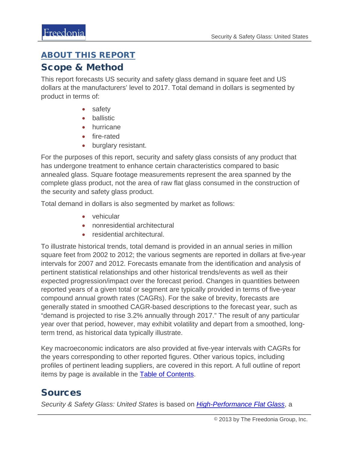#### ABOUT THIS REPORT

#### Scope & Method

This report forecasts US security and safety glass demand in square feet and US dollars at the manufacturers' level to 2017. Total demand in dollars is segmented by product in terms of:

- safety
- ballistic
- hurricane
- fire-rated
- burglary resistant.

For the purposes of this report, security and safety glass consists of any product that has undergone treatment to enhance certain characteristics compared to basic annealed glass. Square footage measurements represent the area spanned by the complete glass product, not the area of raw flat glass consumed in the construction of the security and safety glass product.

Total demand in dollars is also segmented by market as follows:

- vehicular
- nonresidential architectural
- residential architectural.

To illustrate historical trends, total demand is provided in an annual series in million square feet from 2002 to 2012; the various segments are reported in dollars at five-year intervals for 2007 and 2012. Forecasts emanate from the identification and analysis of pertinent statistical relationships and other historical trends/events as well as their expected progression/impact over the forecast period. Changes in quantities between reported years of a given total or segment are typically provided in terms of five-year compound annual growth rates (CAGRs). For the sake of brevity, forecasts are generally stated in smoothed CAGR-based descriptions to the forecast year, such as "demand is projected to rise 3.2% annually through 2017." The result of any particular year over that period, however, may exhibit volatility and depart from a smoothed, longterm trend, as historical data typically illustrate.

Key macroeconomic indicators are also provided at five-year intervals with CAGRs for the years corresponding to other reported figures. Other various topics, including profiles of pertinent leading suppliers, are covered in this report. A full outline of report items by page is available in the [Table of Contents.](#page-3-0)

### Sources

*Security & Safety Glass: United States* is based on *[High-Performance](http://www.freedoniagroup.com/DocumentDetails.aspx?ReferrerId=FL-FOCUS&studyid=3034) Flat Glass*, a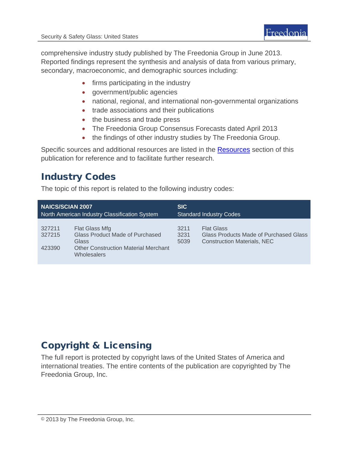comprehensive industry study published by The Freedonia Group in June 2013. Reported findings represent the synthesis and analysis of data from various primary, secondary, macroeconomic, and demographic sources including:

- firms participating in the industry
- government/public agencies
- national, regional, and international non-governmental organizations
- trade associations and their publications
- the business and trade press
- The Freedonia Group Consensus Forecasts dated April 2013
- the findings of other industry studies by The Freedonia Group.

Specific sources and additional resources are listed in the **Resources** section of this publication for reference and to facilitate further research.

# Industry Codes

The topic of this report is related to the following industry codes:

| <b>NAICS/SCIAN 2007</b>                       |                                                                                                                                        | <b>SIC</b>                     |                                                                                                   |
|-----------------------------------------------|----------------------------------------------------------------------------------------------------------------------------------------|--------------------------------|---------------------------------------------------------------------------------------------------|
| North American Industry Classification System |                                                                                                                                        | <b>Standard Industry Codes</b> |                                                                                                   |
| 327211<br>327215<br>423390                    | Flat Glass Mfg<br><b>Glass Product Made of Purchased</b><br>Glass<br><b>Other Construction Material Merchant</b><br><b>Wholesalers</b> | 3211<br>3231<br>5039           | <b>Flat Glass</b><br>Glass Products Made of Purchased Glass<br><b>Construction Materials, NEC</b> |

# Copyright & Licensing

The full report is protected by copyright laws of the United States of America and international treaties. The entire contents of the publication are copyrighted by The Freedonia Group, Inc.